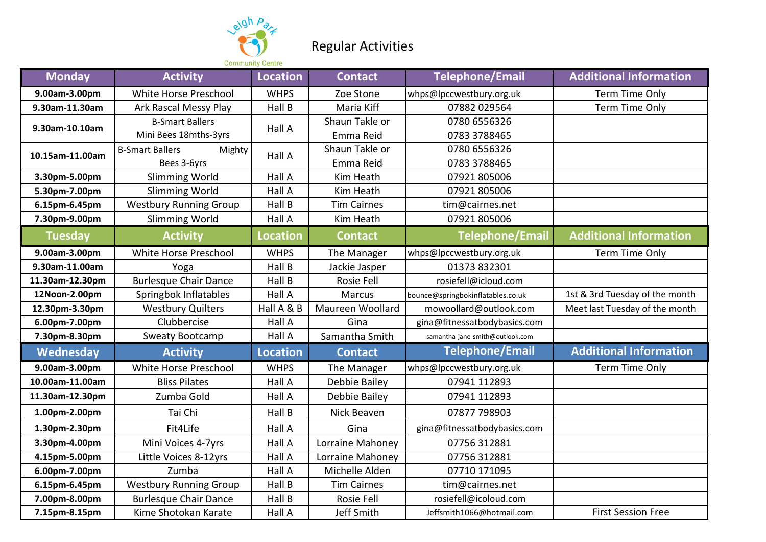

## Regular Activities

| <b>Monday</b>   | <b>Activity</b>                  | <b>Location</b> | <b>Contact</b>     | <b>Telephone/Email</b>            | <b>Additional Information</b>  |
|-----------------|----------------------------------|-----------------|--------------------|-----------------------------------|--------------------------------|
| 9.00am-3.00pm   | White Horse Preschool            | <b>WHPS</b>     | Zoe Stone          | whps@lpccwestbury.org.uk          | Term Time Only                 |
| 9.30am-11.30am  | Ark Rascal Messy Play            | Hall B          | Maria Kiff         | 07882 029564                      | Term Time Only                 |
| 9.30am-10.10am  | <b>B-Smart Ballers</b>           | Hall A          | Shaun Takle or     | 0780 6556326                      |                                |
|                 | Mini Bees 18mths-3yrs            |                 | Emma Reid          | 0783 3788465                      |                                |
| 10.15am-11.00am | <b>B-Smart Ballers</b><br>Mighty | Hall A          | Shaun Takle or     | 0780 6556326                      |                                |
|                 | Bees 3-6yrs                      |                 | Emma Reid          | 0783 3788465                      |                                |
| 3.30pm-5.00pm   | Slimming World                   | Hall A          | Kim Heath          | 07921 805006                      |                                |
| 5.30pm-7.00pm   | <b>Slimming World</b>            | Hall A          | Kim Heath          | 07921 805006                      |                                |
| 6.15pm-6.45pm   | <b>Westbury Running Group</b>    | Hall B          | <b>Tim Cairnes</b> | tim@cairnes.net                   |                                |
| 7.30pm-9.00pm   | <b>Slimming World</b>            | Hall A          | Kim Heath          | 07921 805006                      |                                |
| <b>Tuesday</b>  | <b>Activity</b>                  | Location        | <b>Contact</b>     | Telephone/Email                   | <b>Additional Information</b>  |
| 9.00am-3.00pm   | White Horse Preschool            | <b>WHPS</b>     | The Manager        | whps@lpccwestbury.org.uk          | Term Time Only                 |
| 9.30am-11.00am  | Yoga                             | Hall B          | Jackie Jasper      | 01373 832301                      |                                |
| 11.30am-12.30pm | <b>Burlesque Chair Dance</b>     | Hall B          | Rosie Fell         | rosiefell@icloud.com              |                                |
| 12Noon-2.00pm   | Springbok Inflatables            | Hall A          | <b>Marcus</b>      | bounce@springbokinflatables.co.uk | 1st & 3rd Tuesday of the month |
| 12.30pm-3.30pm  | <b>Westbury Quilters</b>         | Hall A & B      | Maureen Woollard   | mowoollard@outlook.com            | Meet last Tuesday of the month |
| 6.00pm-7.00pm   | Clubbercise                      | Hall A          | Gina               | gina@fitnessatbodybasics.com      |                                |
| 7.30pm-8.30pm   | Sweaty Bootcamp                  | Hall A          | Samantha Smith     | samantha-jane-smith@outlook.com   |                                |
| Wednesday       | <b>Activity</b>                  | <b>Location</b> | <b>Contact</b>     | <b>Telephone/Email</b>            | <b>Additional Information</b>  |
| 9.00am-3.00pm   | White Horse Preschool            | <b>WHPS</b>     | The Manager        | whps@lpccwestbury.org.uk          | Term Time Only                 |
| 10.00am-11.00am | <b>Bliss Pilates</b>             | Hall A          | Debbie Bailey      | 07941 112893                      |                                |
| 11.30am-12.30pm | Zumba Gold                       | Hall A          | Debbie Bailey      | 07941 112893                      |                                |
| 1.00pm-2.00pm   | Tai Chi                          | Hall B          | Nick Beaven        | 07877 798903                      |                                |
| 1.30pm-2.30pm   | Fit4Life                         | Hall A          | Gina               | gina@fitnessatbodybasics.com      |                                |
| 3.30pm-4.00pm   | Mini Voices 4-7yrs               | Hall A          | Lorraine Mahoney   | 07756 312881                      |                                |
| 4.15pm-5.00pm   | Little Voices 8-12yrs            | Hall A          | Lorraine Mahoney   | 07756 312881                      |                                |
| 6.00pm-7.00pm   | Zumba                            | Hall A          | Michelle Alden     | 07710 171095                      |                                |
| 6.15pm-6.45pm   | <b>Westbury Running Group</b>    | Hall B          | <b>Tim Cairnes</b> | tim@cairnes.net                   |                                |
| 7.00pm-8.00pm   | <b>Burlesque Chair Dance</b>     | Hall B          | Rosie Fell         | rosiefell@icoloud.com             |                                |
| 7.15pm-8.15pm   | Kime Shotokan Karate             | Hall A          | Jeff Smith         | Jeffsmith1066@hotmail.com         | <b>First Session Free</b>      |